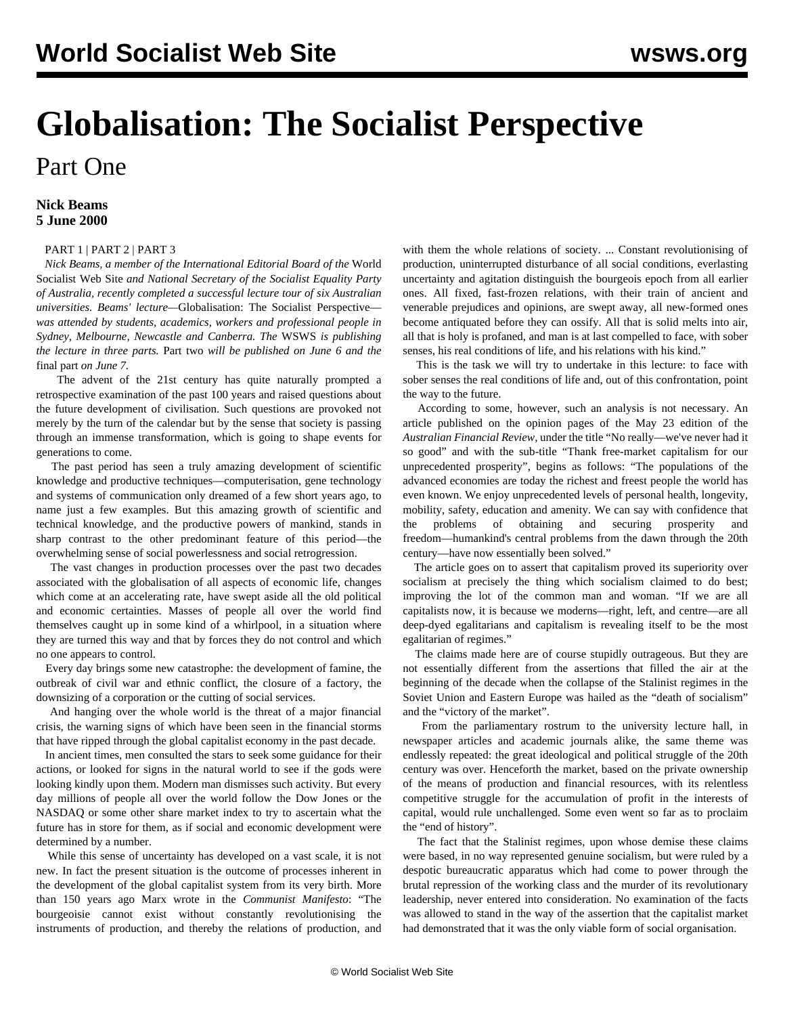## **Globalisation: The Socialist Perspective** Part One

## **Nick Beams 5 June 2000**

## [PART 1](/en/articles/2000/06/lec1-j05.html) | [PART 2](/en/articles/2000/06/lec2-j06.html) | [PART 3](/en/articles/2000/06/lec3-j07.html)

 *Nick Beams, a member of the International Editorial Board of the* World Socialist Web Site *and National Secretary of the Socialist Equality Party of Australia, recently completed a successful lecture tour of six Australian universities. Beams' lecture—*Globalisation: The Socialist Perspective *was attended by students, academics, workers and professional people in Sydney, Melbourne, Newcastle and Canberra. The* WSWS *is publishing the lecture in three parts.* [Part two](/en/articles/2000/06/lec2-j06.html) *will be published on June 6 and the* [final part](/en/articles/2000/06/lec3-j07.html) *on June 7.*

 The advent of the 21st century has quite naturally prompted a retrospective examination of the past 100 years and raised questions about the future development of civilisation. Such questions are provoked not merely by the turn of the calendar but by the sense that society is passing through an immense transformation, which is going to shape events for generations to come.

 The past period has seen a truly amazing development of scientific knowledge and productive techniques—computerisation, gene technology and systems of communication only dreamed of a few short years ago, to name just a few examples. But this amazing growth of scientific and technical knowledge, and the productive powers of mankind, stands in sharp contrast to the other predominant feature of this period—the overwhelming sense of social powerlessness and social retrogression.

 The vast changes in production processes over the past two decades associated with the globalisation of all aspects of economic life, changes which come at an accelerating rate, have swept aside all the old political and economic certainties. Masses of people all over the world find themselves caught up in some kind of a whirlpool, in a situation where they are turned this way and that by forces they do not control and which no one appears to control.

 Every day brings some new catastrophe: the development of famine, the outbreak of civil war and ethnic conflict, the closure of a factory, the downsizing of a corporation or the cutting of social services.

 And hanging over the whole world is the threat of a major financial crisis, the warning signs of which have been seen in the financial storms that have ripped through the global capitalist economy in the past decade.

 In ancient times, men consulted the stars to seek some guidance for their actions, or looked for signs in the natural world to see if the gods were looking kindly upon them. Modern man dismisses such activity. But every day millions of people all over the world follow the Dow Jones or the NASDAQ or some other share market index to try to ascertain what the future has in store for them, as if social and economic development were determined by a number.

 While this sense of uncertainty has developed on a vast scale, it is not new. In fact the present situation is the outcome of processes inherent in the development of the global capitalist system from its very birth. More than 150 years ago Marx wrote in the *Communist Manifesto*: "The bourgeoisie cannot exist without constantly revolutionising the instruments of production, and thereby the relations of production, and

with them the whole relations of society. ... Constant revolutionising of production, uninterrupted disturbance of all social conditions, everlasting uncertainty and agitation distinguish the bourgeois epoch from all earlier ones. All fixed, fast-frozen relations, with their train of ancient and venerable prejudices and opinions, are swept away, all new-formed ones become antiquated before they can ossify. All that is solid melts into air, all that is holy is profaned, and man is at last compelled to face, with sober senses, his real conditions of life, and his relations with his kind."

 This is the task we will try to undertake in this lecture: to face with sober senses the real conditions of life and, out of this confrontation, point the way to the future.

 According to some, however, such an analysis is not necessary. An article published on the opinion pages of the May 23 edition of the *Australian Financial Review,* under the title "No really—we've never had it so good" and with the sub-title "Thank free-market capitalism for our unprecedented prosperity", begins as follows: "The populations of the advanced economies are today the richest and freest people the world has even known. We enjoy unprecedented levels of personal health, longevity, mobility, safety, education and amenity. We can say with confidence that the problems of obtaining and securing prosperity and freedom—humankind's central problems from the dawn through the 20th century—have now essentially been solved."

 The article goes on to assert that capitalism proved its superiority over socialism at precisely the thing which socialism claimed to do best; improving the lot of the common man and woman. "If we are all capitalists now, it is because we moderns—right, left, and centre—are all deep-dyed egalitarians and capitalism is revealing itself to be the most egalitarian of regimes."

 The claims made here are of course stupidly outrageous. But they are not essentially different from the assertions that filled the air at the beginning of the decade when the collapse of the Stalinist regimes in the Soviet Union and Eastern Europe was hailed as the "death of socialism" and the "victory of the market".

 From the parliamentary rostrum to the university lecture hall, in newspaper articles and academic journals alike, the same theme was endlessly repeated: the great ideological and political struggle of the 20th century was over. Henceforth the market, based on the private ownership of the means of production and financial resources, with its relentless competitive struggle for the accumulation of profit in the interests of capital, would rule unchallenged. Some even went so far as to proclaim the "end of history".

 The fact that the Stalinist regimes, upon whose demise these claims were based, in no way represented genuine socialism, but were ruled by a despotic bureaucratic apparatus which had come to power through the brutal repression of the working class and the murder of its revolutionary leadership, never entered into consideration. No examination of the facts was allowed to stand in the way of the assertion that the capitalist market had demonstrated that it was the only viable form of social organisation.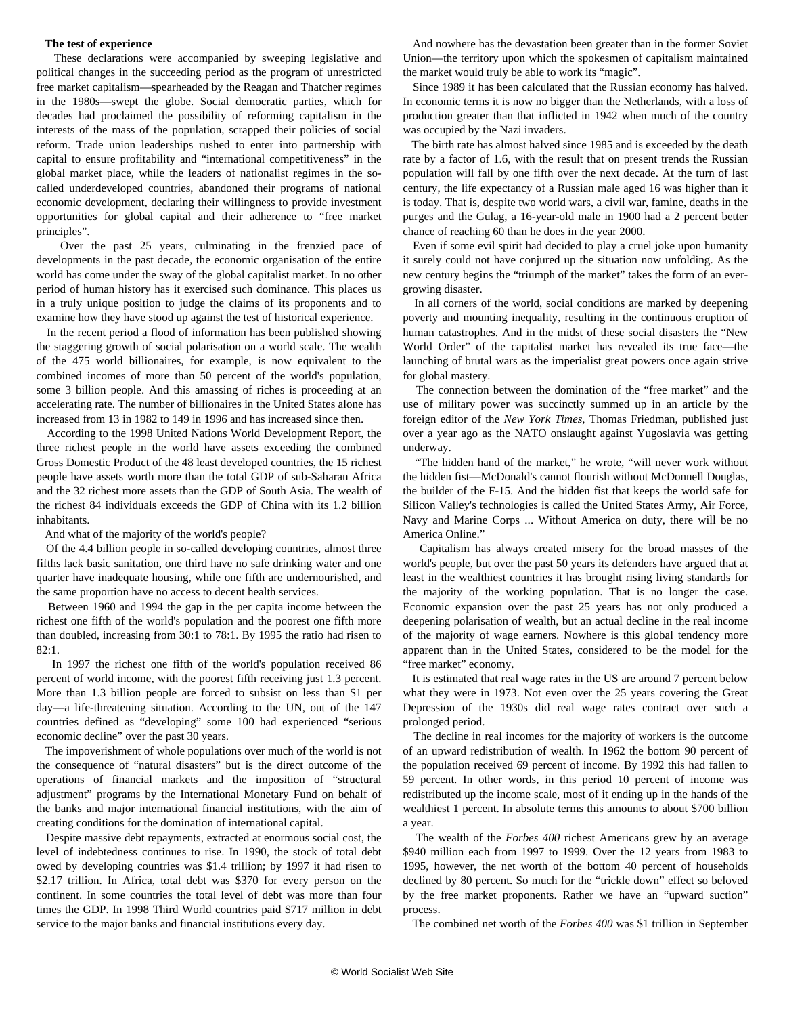## **The test of experience**

 These declarations were accompanied by sweeping legislative and political changes in the succeeding period as the program of unrestricted free market capitalism—spearheaded by the Reagan and Thatcher regimes in the 1980s—swept the globe. Social democratic parties, which for decades had proclaimed the possibility of reforming capitalism in the interests of the mass of the population, scrapped their policies of social reform. Trade union leaderships rushed to enter into partnership with capital to ensure profitability and "international competitiveness" in the global market place, while the leaders of nationalist regimes in the socalled underdeveloped countries, abandoned their programs of national economic development, declaring their willingness to provide investment opportunities for global capital and their adherence to "free market principles".

 Over the past 25 years, culminating in the frenzied pace of developments in the past decade, the economic organisation of the entire world has come under the sway of the global capitalist market. In no other period of human history has it exercised such dominance. This places us in a truly unique position to judge the claims of its proponents and to examine how they have stood up against the test of historical experience.

 In the recent period a flood of information has been published showing the staggering growth of social polarisation on a world scale. The wealth of the 475 world billionaires, for example, is now equivalent to the combined incomes of more than 50 percent of the world's population, some 3 billion people. And this amassing of riches is proceeding at an accelerating rate. The number of billionaires in the United States alone has increased from 13 in 1982 to 149 in 1996 and has increased since then.

 According to the 1998 United Nations World Development Report, the three richest people in the world have assets exceeding the combined Gross Domestic Product of the 48 least developed countries, the 15 richest people have assets worth more than the total GDP of sub-Saharan Africa and the 32 richest more assets than the GDP of South Asia. The wealth of the richest 84 individuals exceeds the GDP of China with its 1.2 billion inhabitants.

And what of the majority of the world's people?

 Of the 4.4 billion people in so-called developing countries, almost three fifths lack basic sanitation, one third have no safe drinking water and one quarter have inadequate housing, while one fifth are undernourished, and the same proportion have no access to decent health services.

 Between 1960 and 1994 the gap in the per capita income between the richest one fifth of the world's population and the poorest one fifth more than doubled, increasing from 30:1 to 78:1. By 1995 the ratio had risen to 82:1.

 In 1997 the richest one fifth of the world's population received 86 percent of world income, with the poorest fifth receiving just 1.3 percent. More than 1.3 billion people are forced to subsist on less than \$1 per day—a life-threatening situation. According to the UN, out of the 147 countries defined as "developing" some 100 had experienced "serious economic decline" over the past 30 years.

 The impoverishment of whole populations over much of the world is not the consequence of "natural disasters" but is the direct outcome of the operations of financial markets and the imposition of "structural adjustment" programs by the International Monetary Fund on behalf of the banks and major international financial institutions, with the aim of creating conditions for the domination of international capital.

 Despite massive debt repayments, extracted at enormous social cost, the level of indebtedness continues to rise. In 1990, the stock of total debt owed by developing countries was \$1.4 trillion; by 1997 it had risen to \$2.17 trillion. In Africa, total debt was \$370 for every person on the continent. In some countries the total level of debt was more than four times the GDP. In 1998 Third World countries paid \$717 million in debt service to the major banks and financial institutions every day.

 And nowhere has the devastation been greater than in the former Soviet Union—the territory upon which the spokesmen of capitalism maintained the market would truly be able to work its "magic".

 Since 1989 it has been calculated that the Russian economy has halved. In economic terms it is now no bigger than the Netherlands, with a loss of production greater than that inflicted in 1942 when much of the country was occupied by the Nazi invaders.

 The birth rate has almost halved since 1985 and is exceeded by the death rate by a factor of 1.6, with the result that on present trends the Russian population will fall by one fifth over the next decade. At the turn of last century, the life expectancy of a Russian male aged 16 was higher than it is today. That is, despite two world wars, a civil war, famine, deaths in the purges and the Gulag, a 16-year-old male in 1900 had a 2 percent better chance of reaching 60 than he does in the year 2000.

 Even if some evil spirit had decided to play a cruel joke upon humanity it surely could not have conjured up the situation now unfolding. As the new century begins the "triumph of the market" takes the form of an evergrowing disaster.

 In all corners of the world, social conditions are marked by deepening poverty and mounting inequality, resulting in the continuous eruption of human catastrophes. And in the midst of these social disasters the "New World Order" of the capitalist market has revealed its true face—the launching of brutal wars as the imperialist great powers once again strive for global mastery.

 The connection between the domination of the "free market" and the use of military power was succinctly summed up in an article by the foreign editor of the *New York Times*, Thomas Friedman, published just over a year ago as the NATO onslaught against Yugoslavia was getting underway.

 "The hidden hand of the market," he wrote, "will never work without the hidden fist—McDonald's cannot flourish without McDonnell Douglas, the builder of the F-15. And the hidden fist that keeps the world safe for Silicon Valley's technologies is called the United States Army, Air Force, Navy and Marine Corps ... Without America on duty, there will be no America Online."

 Capitalism has always created misery for the broad masses of the world's people, but over the past 50 years its defenders have argued that at least in the wealthiest countries it has brought rising living standards for the majority of the working population. That is no longer the case. Economic expansion over the past 25 years has not only produced a deepening polarisation of wealth, but an actual decline in the real income of the majority of wage earners. Nowhere is this global tendency more apparent than in the United States, considered to be the model for the "free market" economy.

 It is estimated that real wage rates in the US are around 7 percent below what they were in 1973. Not even over the 25 years covering the Great Depression of the 1930s did real wage rates contract over such a prolonged period.

 The decline in real incomes for the majority of workers is the outcome of an upward redistribution of wealth. In 1962 the bottom 90 percent of the population received 69 percent of income. By 1992 this had fallen to 59 percent. In other words, in this period 10 percent of income was redistributed up the income scale, most of it ending up in the hands of the wealthiest 1 percent. In absolute terms this amounts to about \$700 billion a year.

 The wealth of the *Forbes 400* richest Americans grew by an average \$940 million each from 1997 to 1999. Over the 12 years from 1983 to 1995, however, the net worth of the bottom 40 percent of households declined by 80 percent. So much for the "trickle down" effect so beloved by the free market proponents. Rather we have an "upward suction" process.

The combined net worth of the *Forbes 400* was \$1 trillion in September